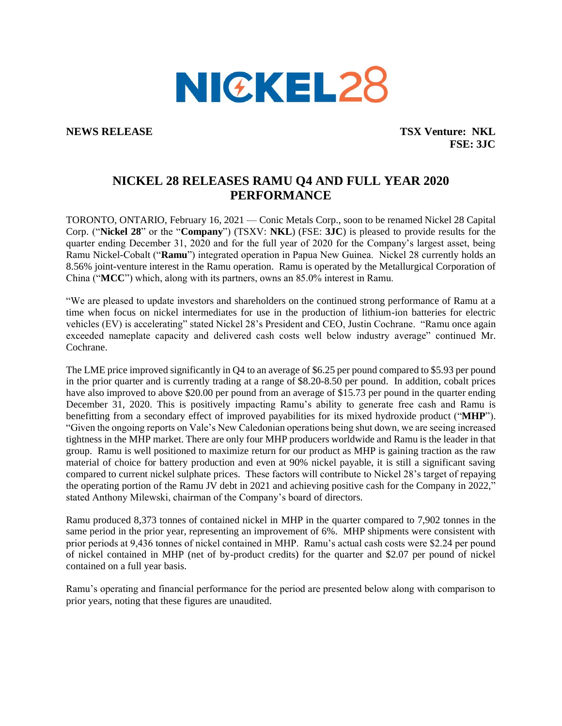

**NEWS RELEASE TSX Venture: NKL FSE: 3JC**

## **NICKEL 28 RELEASES RAMU Q4 AND FULL YEAR 2020 PERFORMANCE**

TORONTO, ONTARIO, February 16, 2021 — Conic Metals Corp., soon to be renamed Nickel 28 Capital Corp. ("**Nickel 28**" or the "**Company**") (TSXV: **NKL**) (FSE: **3JC**) is pleased to provide results for the quarter ending December 31, 2020 and for the full year of 2020 for the Company's largest asset, being Ramu Nickel-Cobalt ("**Ramu**") integrated operation in Papua New Guinea. Nickel 28 currently holds an 8.56% joint-venture interest in the Ramu operation. Ramu is operated by the Metallurgical Corporation of China ("**MCC**") which, along with its partners, owns an 85.0% interest in Ramu.

"We are pleased to update investors and shareholders on the continued strong performance of Ramu at a time when focus on nickel intermediates for use in the production of lithium-ion batteries for electric vehicles (EV) is accelerating" stated Nickel 28's President and CEO, Justin Cochrane. "Ramu once again exceeded nameplate capacity and delivered cash costs well below industry average" continued Mr. Cochrane.

The LME price improved significantly in Q4 to an average of \$6.25 per pound compared to \$5.93 per pound in the prior quarter and is currently trading at a range of \$8.20-8.50 per pound. In addition, cobalt prices have also improved to above \$20.00 per pound from an average of \$15.73 per pound in the quarter ending December 31, 2020. This is positively impacting Ramu's ability to generate free cash and Ramu is benefitting from a secondary effect of improved payabilities for its mixed hydroxide product ("**MHP**"). "Given the ongoing reports on Vale's New Caledonian operations being shut down, we are seeing increased tightness in the MHP market. There are only four MHP producers worldwide and Ramu is the leader in that group. Ramu is well positioned to maximize return for our product as MHP is gaining traction as the raw material of choice for battery production and even at 90% nickel payable, it is still a significant saving compared to current nickel sulphate prices. These factors will contribute to Nickel 28's target of repaying the operating portion of the Ramu JV debt in 2021 and achieving positive cash for the Company in 2022," stated Anthony Milewski, chairman of the Company's board of directors.

Ramu produced 8,373 tonnes of contained nickel in MHP in the quarter compared to 7,902 tonnes in the same period in the prior year, representing an improvement of 6%. MHP shipments were consistent with prior periods at 9,436 tonnes of nickel contained in MHP. Ramu's actual cash costs were \$2.24 per pound of nickel contained in MHP (net of by-product credits) for the quarter and \$2.07 per pound of nickel contained on a full year basis.

Ramu's operating and financial performance for the period are presented below along with comparison to prior years, noting that these figures are unaudited.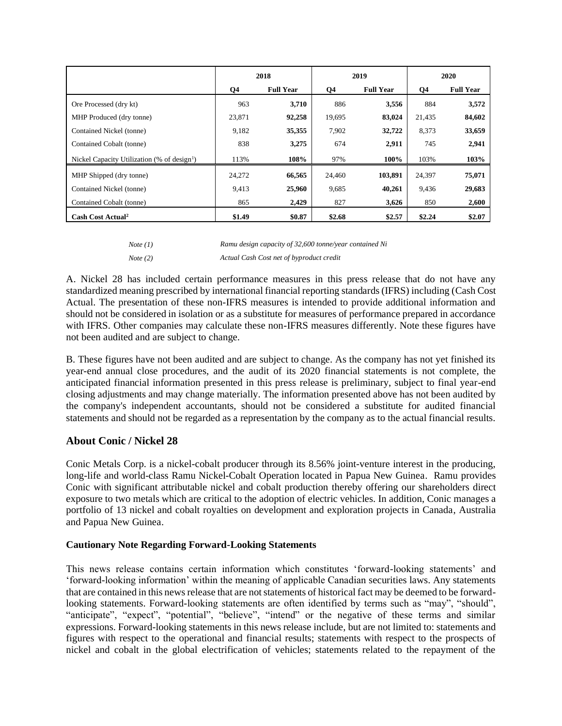|                                                         | 2018   |                  | 2019   |                  | 2020   |                  |
|---------------------------------------------------------|--------|------------------|--------|------------------|--------|------------------|
|                                                         | Q4     | <b>Full Year</b> | Q4     | <b>Full Year</b> | Q4     | <b>Full Year</b> |
| Ore Processed (dry kt)                                  | 963    | 3,710            | 886    | 3,556            | 884    | 3,572            |
| MHP Produced (dry tonne)                                | 23,871 | 92,258           | 19.695 | 83,024           | 21,435 | 84,602           |
| Contained Nickel (tonne)                                | 9,182  | 35,355           | 7,902  | 32,722           | 8,373  | 33,659           |
| Contained Cobalt (tonne)                                | 838    | 3,275            | 674    | 2,911            | 745    | 2,941            |
| Nickel Capacity Utilization (% of design <sup>1</sup> ) | 113%   | 108%             | 97%    | 100%             | 103%   | 103%             |
| MHP Shipped (dry tonne)                                 | 24,272 | 66,565           | 24,460 | 103,891          | 24,397 | 75,071           |
| Contained Nickel (tonne)                                | 9,413  | 25,960           | 9,685  | 40,261           | 9,436  | 29,683           |
| Contained Cobalt (tonne)                                | 865    | 2,429            | 827    | 3,626            | 850    | 2,600            |
| Cash Cost Actual <sup>2</sup>                           | \$1.49 | \$0.87           | \$2.68 | \$2.57           | \$2.24 | \$2.07           |

| <i>Note</i> (1) | Ramu design capacity of 32,600 tonne/year contained Ni |
|-----------------|--------------------------------------------------------|
| <i>Note</i> (2) | Actual Cash Cost net of byproduct credit               |

A. Nickel 28 has included certain performance measures in this press release that do not have any standardized meaning prescribed by international financial reporting standards (IFRS) including (Cash Cost Actual. The presentation of these non-IFRS measures is intended to provide additional information and should not be considered in isolation or as a substitute for measures of performance prepared in accordance with IFRS. Other companies may calculate these non-IFRS measures differently. Note these figures have not been audited and are subject to change.

B. These figures have not been audited and are subject to change. As the company has not yet finished its year-end annual close procedures, and the audit of its 2020 financial statements is not complete, the anticipated financial information presented in this press release is preliminary, subject to final year-end closing adjustments and may change materially. The information presented above has not been audited by the company's independent accountants, should not be considered a substitute for audited financial statements and should not be regarded as a representation by the company as to the actual financial results.

## **About Conic / Nickel 28**

Conic Metals Corp. is a nickel-cobalt producer through its 8.56% joint-venture interest in the producing, long-life and world-class Ramu Nickel-Cobalt Operation located in Papua New Guinea. Ramu provides Conic with significant attributable nickel and cobalt production thereby offering our shareholders direct exposure to two metals which are critical to the adoption of electric vehicles. In addition, Conic manages a portfolio of 13 nickel and cobalt royalties on development and exploration projects in Canada, Australia and Papua New Guinea.

## **Cautionary Note Regarding Forward-Looking Statements**

This news release contains certain information which constitutes 'forward-looking statements' and 'forward-looking information' within the meaning of applicable Canadian securities laws. Any statements that are contained in this news release that are not statements of historical fact may be deemed to be forwardlooking statements. Forward-looking statements are often identified by terms such as "may", "should", "anticipate", "expect", "potential", "believe", "intend" or the negative of these terms and similar expressions. Forward-looking statements in this news release include, but are not limited to: statements and figures with respect to the operational and financial results; statements with respect to the prospects of nickel and cobalt in the global electrification of vehicles; statements related to the repayment of the